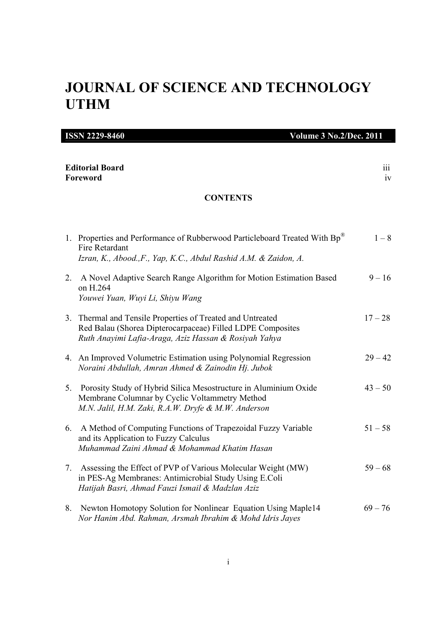# **JOURNAL OF SCIENCE AND TECHNOLOGY UTHM**

| <b>ISSN 2229-8460</b><br><b>Volume 3 No.2/Dec. 2011</b> |                                                                                                                                                                                   |           |
|---------------------------------------------------------|-----------------------------------------------------------------------------------------------------------------------------------------------------------------------------------|-----------|
| <b>Editorial Board</b><br>Foreword<br><b>CONTENTS</b>   |                                                                                                                                                                                   | 111<br>iv |
|                                                         |                                                                                                                                                                                   |           |
|                                                         | 1. Properties and Performance of Rubberwood Particleboard Treated With Bp®<br>Fire Retardant<br>Izran, K., Abood., F., Yap, K.C., Abdul Rashid A.M. & Zaidon, A.                  | $1-8$     |
| 2.                                                      | A Novel Adaptive Search Range Algorithm for Motion Estimation Based<br>on H.264<br>Youwei Yuan, Wuyi Li, Shiyu Wang                                                               | $9 - 16$  |
|                                                         | 3. Thermal and Tensile Properties of Treated and Untreated<br>Red Balau (Shorea Dipterocarpaceae) Filled LDPE Composites<br>Ruth Anayimi Lafia-Araga, Aziz Hassan & Rosiyah Yahya | $17 - 28$ |
|                                                         | 4. An Improved Volumetric Estimation using Polynomial Regression<br>Noraini Abdullah, Amran Ahmed & Zainodin Hj. Jubok                                                            | $29 - 42$ |
| 5.                                                      | Porosity Study of Hybrid Silica Mesostructure in Aluminium Oxide<br>Membrane Columnar by Cyclic Voltammetry Method<br>M.N. Jalil, H.M. Zaki, R.A.W. Dryfe & M.W. Anderson         | $43 - 50$ |
| 6.                                                      | A Method of Computing Functions of Trapezoidal Fuzzy Variable<br>and its Application to Fuzzy Calculus<br>Muhammad Zaini Ahmad & Mohammad Khatim Hasan                            | $51 - 58$ |
| 7.                                                      | Assessing the Effect of PVP of Various Molecular Weight (MW)<br>in PES-Ag Membranes: Antimicrobial Study Using E.Coli<br>Hatijah Basri, Ahmad Fauzi Ismail & Madzlan Aziz         | $59 - 68$ |
| 8.                                                      | Newton Homotopy Solution for Nonlinear Equation Using Maple14<br>Nor Hanim Abd. Rahman, Arsmah Ibrahim & Mohd Idris Jayes                                                         | $69 - 76$ |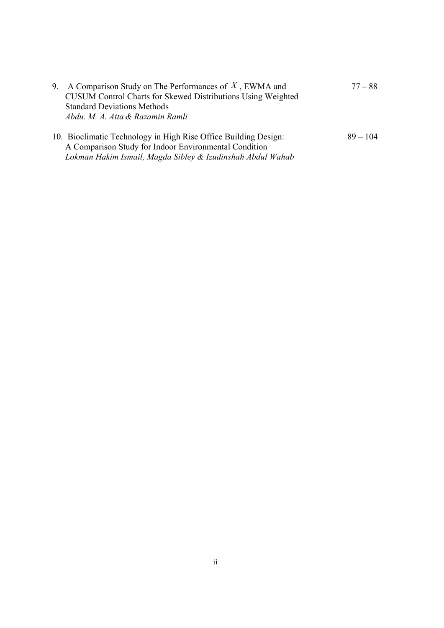| 9. A Comparison Study on The Performances of $X$ , EWMA and     | $77 - 88$  |
|-----------------------------------------------------------------|------------|
| CUSUM Control Charts for Skewed Distributions Using Weighted    |            |
| <b>Standard Deviations Methods</b>                              |            |
| Abdu. M. A. Atta & Razamin Ramli                                |            |
| 10. Bioclimatic Technology in High Rise Office Building Design: | $89 - 104$ |
| A Comparison Study for Indoor Environmental Condition           |            |

*Lokman Hakim Ismail, Magda Sibley & Izudinshah Abdul Wahab*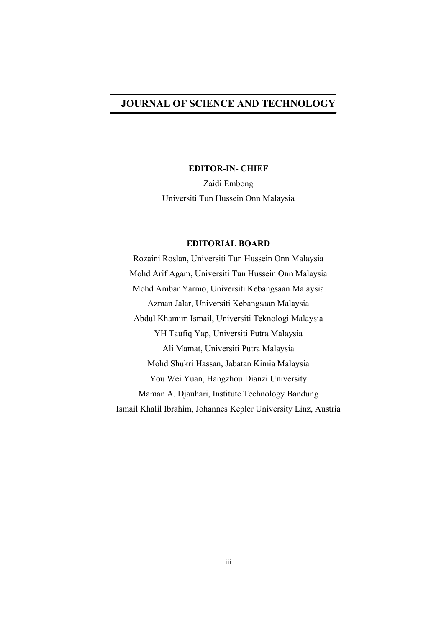## **JOURNAL OF SCIENCE AND TECHNOLOGY**

### **EDITOR-IN- CHIEF**

Zaidi Embong Universiti Tun Hussein Onn Malaysia

### **EDITORIAL BOARD**

Rozaini Roslan, Universiti Tun Hussein Onn Malaysia Mohd Arif Agam, Universiti Tun Hussein Onn Malaysia Mohd Ambar Yarmo, Universiti Kebangsaan Malaysia Azman Jalar, Universiti Kebangsaan Malaysia Abdul Khamim Ismail, Universiti Teknologi Malaysia YH Taufiq Yap, Universiti Putra Malaysia Ali Mamat, Universiti Putra Malaysia Mohd Shukri Hassan, Jabatan Kimia Malaysia You Wei Yuan, Hangzhou Dianzi University Maman A. Djauhari, Institute Technology Bandung Ismail Khalil Ibrahim, Johannes Kepler University Linz, Austria